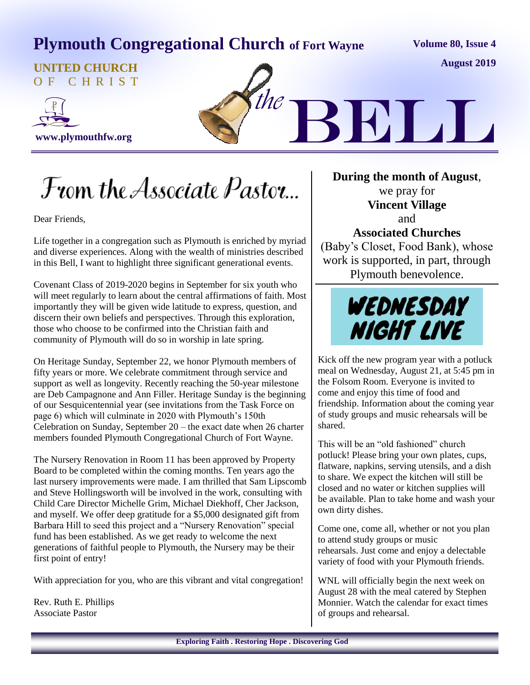# **Plymouth Congregational Church of Fort Wayne**

**Volume 80, Issue 4**

**August 2019**

**UNITED CHURCH** O F C H R I S T





From the Associate Pastor...

Dear Friends,

Life together in a congregation such as Plymouth is enriched by myriad and diverse experiences. Along with the wealth of ministries described in this Bell, I want to highlight three significant generational events.

Covenant Class of 2019-2020 begins in September for six youth who will meet regularly to learn about the central affirmations of faith. Most importantly they will be given wide latitude to express, question, and discern their own beliefs and perspectives. Through this exploration, those who choose to be confirmed into the Christian faith and community of Plymouth will do so in worship in late spring.

On Heritage Sunday, September 22, we honor Plymouth members of fifty years or more. We celebrate commitment through service and support as well as longevity. Recently reaching the 50-year milestone are Deb Campagnone and Ann Filler. Heritage Sunday is the beginning of our Sesquicentennial year (see invitations from the Task Force on page 6) which will culminate in 2020 with Plymouth's 150th Celebration on Sunday, September 20 – the exact date when 26 charter members founded Plymouth Congregational Church of Fort Wayne.

The Nursery Renovation in Room 11 has been approved by Property Board to be completed within the coming months. Ten years ago the last nursery improvements were made. I am thrilled that Sam Lipscomb and Steve Hollingsworth will be involved in the work, consulting with Child Care Director Michelle Grim, Michael Diekhoff, Cher Jackson, and myself. We offer deep gratitude for a \$5,000 designated gift from Barbara Hill to seed this project and a "Nursery Renovation" special fund has been established. As we get ready to welcome the next generations of faithful people to Plymouth, the Nursery may be their first point of entry!

With appreciation for you, who are this vibrant and vital congregation!

Rev. Ruth E. Phillips Associate Pastor

**During the month of August**, we pray for **Vincent Village** and **Associated Churches** (Baby's Closet, Food Bank), whose work is supported, in part, through Plymouth benevolence.



Kick off the new program year with a potluck meal on Wednesday, August 21, at 5:45 pm in the Folsom Room. Everyone is invited to come and enjoy this time of food and friendship. Information about the coming year of study groups and music rehearsals will be shared.

This will be an "old fashioned" church potluck! Please bring your own plates, cups, flatware, napkins, serving utensils, and a dish to share. We expect the kitchen will still be closed and no water or kitchen supplies will be available. Plan to take home and wash your own dirty dishes.

Come one, come all, whether or not you plan to attend study groups or music rehearsals. Just come and enjoy a delectable variety of food with your Plymouth friends.

WNL will officially begin the next week on August 28 with the meal catered by Stephen Monnier. Watch the calendar for exact times of groups and rehearsal.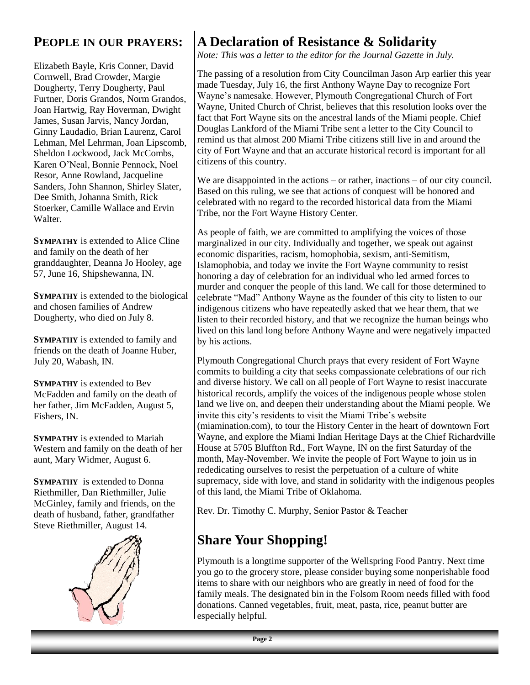#### **PEOPLE IN OUR PRAYERS:**

Elizabeth Bayle, Kris Conner, David Cornwell, Brad Crowder, Margie Dougherty, Terry Dougherty, Paul Furtner, Doris Grandos, Norm Grandos, Joan Hartwig, Ray Hoverman, Dwight James, Susan Jarvis, Nancy Jordan, Ginny Laudadio, Brian Laurenz, Carol Lehman, Mel Lehrman, Joan Lipscomb, Sheldon Lockwood, Jack McCombs, Karen O'Neal, Bonnie Pennock, Noel Resor, Anne Rowland, Jacqueline Sanders, John Shannon, Shirley Slater, Dee Smith, Johanna Smith, Rick Stoerker, Camille Wallace and Ervin Walter.

**SYMPATHY** is extended to Alice Cline and family on the death of her granddaughter, Deanna Jo Hooley, age 57, June 16, Shipshewanna, IN.

**SYMPATHY** is extended to the biological and chosen families of Andrew Dougherty, who died on July 8.

**SYMPATHY** is extended to family and friends on the death of Joanne Huber, July 20, Wabash, IN.

**SYMPATHY** is extended to Bev McFadden and family on the death of her father, Jim McFadden, August 5, Fishers, IN.

**SYMPATHY** is extended to Mariah Western and family on the death of her aunt, Mary Widmer, August 6.

**SYMPATHY** is extended to Donna Riethmiller, Dan Riethmiller, Julie McGinley, family and friends, on the death of husband, father, grandfather Steve Riethmiller, August 14.



## **A Declaration of Resistance & Solidarity**

*Note: This was a letter to the editor for the Journal Gazette in July.*

The passing of a resolution from City Councilman Jason Arp earlier this year made Tuesday, July 16, the first Anthony Wayne Day to recognize Fort Wayne's namesake. However, Plymouth Congregational Church of Fort Wayne, United Church of Christ, believes that this resolution looks over the fact that Fort Wayne sits on the ancestral lands of the Miami people. Chief Douglas Lankford of the Miami Tribe sent a letter to the City Council to remind us that almost 200 Miami Tribe citizens still live in and around the city of Fort Wayne and that an accurate historical record is important for all citizens of this country.

We are disappointed in the actions – or rather, inactions – of our city council. Based on this ruling, we see that actions of conquest will be honored and celebrated with no regard to the recorded historical data from the Miami Tribe, nor the Fort Wayne History Center.

As people of faith, we are committed to amplifying the voices of those marginalized in our city. Individually and together, we speak out against economic disparities, racism, homophobia, sexism, anti-Semitism, Islamophobia, and today we invite the Fort Wayne community to resist honoring a day of celebration for an individual who led armed forces to murder and conquer the people of this land. We call for those determined to celebrate "Mad" Anthony Wayne as the founder of this city to listen to our indigenous citizens who have repeatedly asked that we hear them, that we listen to their recorded history, and that we recognize the human beings who lived on this land long before Anthony Wayne and were negatively impacted by his actions.

Plymouth Congregational Church prays that every resident of Fort Wayne commits to building a city that seeks compassionate celebrations of our rich and diverse history. We call on all people of Fort Wayne to resist inaccurate historical records, amplify the voices of the indigenous people whose stolen land we live on, and deepen their understanding about the Miami people. We invite this city's residents to visit the Miami Tribe's website (miamination.com), to tour the History Center in the heart of downtown Fort Wayne, and explore the Miami Indian Heritage Days at the Chief Richardville House at 5705 Bluffton Rd., Fort Wayne, IN on the first Saturday of the month, May-November. We invite the people of Fort Wayne to join us in rededicating ourselves to resist the perpetuation of a culture of white supremacy, side with love, and stand in solidarity with the indigenous peoples of this land, the Miami Tribe of Oklahoma.

Rev. Dr. Timothy C. Murphy, Senior Pastor & Teacher

## **Share Your Shopping!**

Plymouth is a longtime supporter of the Wellspring Food Pantry. Next time you go to the grocery store, please consider buying some nonperishable food items to share with our neighbors who are greatly in need of food for the family meals. The designated bin in the Folsom Room needs filled with food donations. Canned vegetables, fruit, meat, pasta, rice, peanut butter are especially helpful.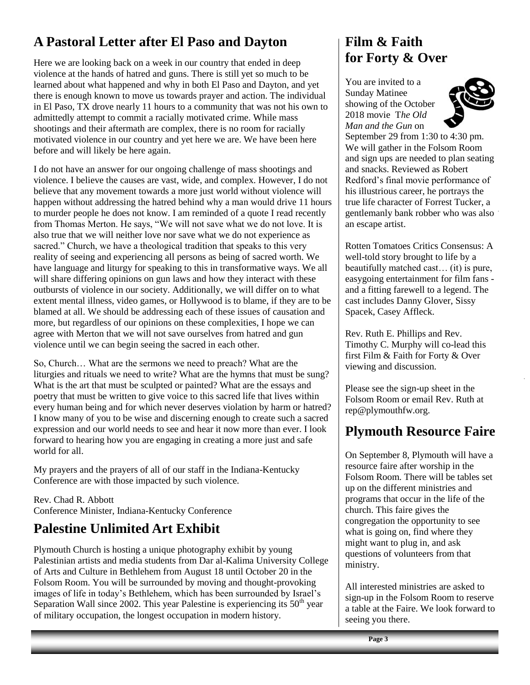## **A Pastoral Letter after El Paso and Dayton**

Here we are looking back on a week in our country that ended in deep violence at the hands of hatred and guns. There is still yet so much to be learned about what happened and why in both El Paso and Dayton, and yet there is enough known to move us towards prayer and action. The individual in El Paso, TX drove nearly 11 hours to a community that was not his own to admittedly attempt to commit a racially motivated crime. While mass shootings and their aftermath are complex, there is no room for racially motivated violence in our country and yet here we are. We have been here before and will likely be here again.

I do not have an answer for our ongoing challenge of mass shootings and violence. I believe the causes are vast, wide, and complex. However, I do not believe that any movement towards a more just world without violence will happen without addressing the hatred behind why a man would drive 11 hours to murder people he does not know. I am reminded of a quote I read recently from Thomas Merton. He says, "We will not save what we do not love. It is also true that we will neither love nor save what we do not experience as sacred." Church, we have a theological tradition that speaks to this very reality of seeing and experiencing all persons as being of sacred worth. We have language and liturgy for speaking to this in transformative ways. We all will share differing opinions on gun laws and how they interact with these outbursts of violence in our society. Additionally, we will differ on to what extent mental illness, video games, or Hollywood is to blame, if they are to be blamed at all. We should be addressing each of these issues of causation and more, but regardless of our opinions on these complexities, I hope we can agree with Merton that we will not save ourselves from hatred and gun violence until we can begin seeing the sacred in each other.

So, Church… What are the sermons we need to preach? What are the liturgies and rituals we need to write? What are the hymns that must be sung? What is the art that must be sculpted or painted? What are the essays and poetry that must be written to give voice to this sacred life that lives within every human being and for which never deserves violation by harm or hatred? I know many of you to be wise and discerning enough to create such a sacred expression and our world needs to see and hear it now more than ever. I look forward to hearing how you are engaging in creating a more just and safe world for all.

My prayers and the prayers of all of our staff in the Indiana-Kentucky Conference are with those impacted by such violence.

Rev. Chad R. Abbott Conference Minister, Indiana-Kentucky Conference

## **Palestine Unlimited Art Exhibit**

Plymouth Church is hosting a unique photography exhibit by young Palestinian artists and media students from Dar al-Kalima University College of Arts and Culture in Bethlehem from August 18 until October 20 in the Folsom Room. You will be surrounded by moving and thought-provoking images of life in today's Bethlehem, which has been surrounded by Israel's Separation Wall since 2002. This year Palestine is experiencing its  $50<sup>th</sup>$  year of military occupation, the longest occupation in modern history.

#### **Film & Faith for Forty & Over**

You are invited to a Sunday Matinee showing of the October 2018 movie T*he Old Man and the Gun* on



September 29 from 1:30 to 4:30 pm. We will gather in the Folsom Room and sign ups are needed to plan seating and snacks. Reviewed as Robert Redford's final movie performance of his illustrious career, he portrays the true life character of Forrest Tucker, a gentlemanly bank robber who was also an escape artist.

Rotten Tomatoes Critics Consensus: A well-told story brought to life by a beautifully matched cast… (it) is pure, easygoing entertainment for film fans and a fitting farewell to a legend. The cast includes Danny Glover, Sissy Spacek, Casey Affleck.

Rev. Ruth E. Phillips and Rev. Timothy C. Murphy will co-lead this first Film & Faith for Forty & Over viewing and discussion.

Please see the sign-up sheet in the Folsom Room or email Rev. Ruth at [rep@plymouthfw.org.](mailto:rep@plymouthfw.org)

#### **Plymouth Resource Faire**

On September 8, Plymouth will have a resource faire after worship in the Folsom Room. There will be tables set up on the different ministries and programs that occur in the life of the church. This faire gives the congregation the opportunity to see what is going on, find where they might want to plug in, and ask questions of volunteers from that ministry.

All interested ministries are asked to sign-up in the Folsom Room to reserve a table at the Faire. We look forward to seeing you there.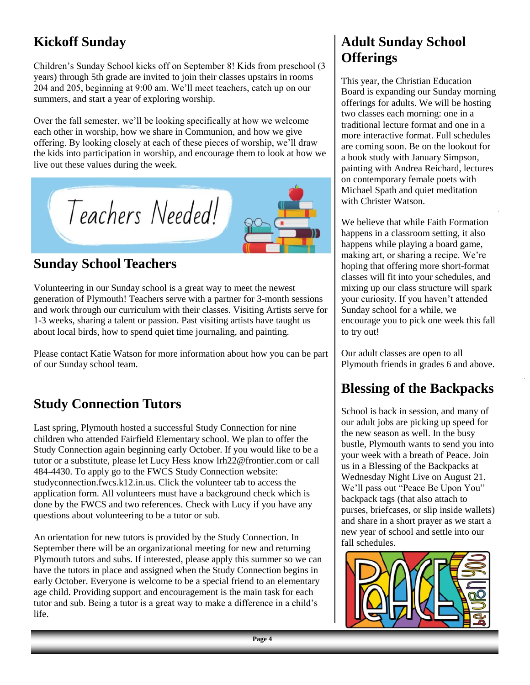# **Kickoff Sunday**

Children's Sunday School kicks off on September 8! Kids from preschool (3 years) through 5th grade are invited to join their classes upstairs in rooms 204 and 205, beginning at 9:00 am. We'll meet teachers, catch up on our summers, and start a year of exploring worship.

Over the fall semester, we'll be looking specifically at how we welcome each other in worship, how we share in Communion, and how we give offering. By looking closely at each of these pieces of worship, we'll draw the kids into participation in worship, and encourage them to look at how we live out these values during the week.



### **Sunday School Teachers**

Volunteering in our Sunday school is a great way to meet the newest generation of Plymouth! Teachers serve with a partner for 3-month sessions and work through our curriculum with their classes. Visiting Artists serve for 1-3 weeks, sharing a talent or passion. Past visiting artists have taught us about local birds, how to spend quiet time journaling, and painting.

Please contact Katie Watson for more information about how you can be part of our Sunday school team.

## **Study Connection Tutors**

Last spring, Plymouth hosted a successful Study Connection for nine children who attended Fairfield Elementary school. We plan to offer the Study Connection again beginning early October. If you would like to be a tutor or a substitute, please let Lucy Hess know [lrh22@frontier.com](mailto:lrh22@frontier.com) or call 484-4430. To apply go to the FWCS Study Connection website: studyconnection.fwcs.k12.in.us. Click the volunteer tab to access the application form. All volunteers must have a background check which is done by the FWCS and two references. Check with Lucy if you have any questions about volunteering to be a tutor or sub.

An orientation for new tutors is provided by the Study Connection. In September there will be an organizational meeting for new and returning Plymouth tutors and subs. If interested, please apply this summer so we can have the tutors in place and assigned when the Study Connection begins in early October. Everyone is welcome to be a special friend to an elementary age child. Providing support and encouragement is the main task for each tutor and sub. Being a tutor is a great way to make a difference in a child's life.

#### **Adult Sunday School Offerings**

This year, the Christian Education Board is expanding our Sunday morning offerings for adults. We will be hosting two classes each morning: one in a traditional lecture format and one in a more interactive format. Full schedules are coming soon. Be on the lookout for a book study with January Simpson, painting with Andrea Reichard, lectures on contemporary female poets with Michael Spath and quiet meditation with Christer Watson.

We believe that while Faith Formation happens in a classroom setting, it also happens while playing a board game, making art, or sharing a recipe. We're hoping that offering more short-format classes will fit into your schedules, and mixing up our class structure will spark your curiosity. If you haven't attended Sunday school for a while, we encourage you to pick one week this fall to try out!

Our adult classes are open to all Plymouth friends in grades 6 and above.

## **Blessing of the Backpacks**

School is back in session, and many of our adult jobs are picking up speed for the new season as well. In the busy bustle, Plymouth wants to send you into your week with a breath of Peace. Join us in a Blessing of the Backpacks at Wednesday Night Live on August 21. We'll pass out "Peace Be Upon You" backpack tags (that also attach to purses, briefcases, or slip inside wallets) and share in a short prayer as we start a new year of school and settle into our fall schedules.

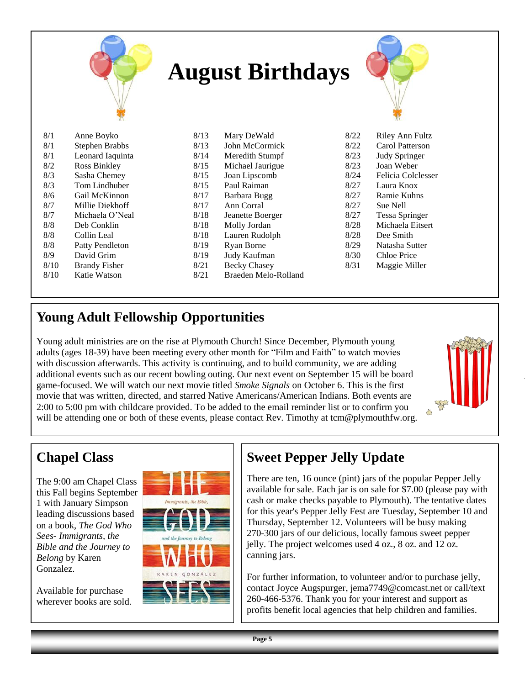|      |                        |      | <b>August Birthdays</b> |      |                      |
|------|------------------------|------|-------------------------|------|----------------------|
| 8/1  | Anne Boyko             | 8/13 | Mary DeWald             | 8/22 | Riley Ann Fultz      |
| 8/1  | <b>Stephen Brabbs</b>  | 8/13 | John McCormick          | 8/22 | Carol Patterson      |
| 8/1  | Leonard Iaquinta       | 8/14 | Meredith Stumpf         | 8/23 | <b>Judy Springer</b> |
| 8/2  | Ross Binkley           | 8/15 | Michael Jaurigue        | 8/23 | Joan Weber           |
| 8/3  | Sasha Chemey           | 8/15 | Joan Lipscomb           | 8/24 | Felicia Colclesser   |
| 8/3  | Tom Lindhuber          | 8/15 | Paul Raiman             | 8/27 | Laura Knox           |
| 8/6  | Gail McKinnon          | 8/17 | Barbara Bugg            | 8/27 | Ramie Kuhns          |
| 8/7  | Millie Diekhoff        | 8/17 | Ann Corral              | 8/27 | Sue Nell             |
| 8/7  | Michaela O'Neal        | 8/18 | Jeanette Boerger        | 8/27 | Tessa Springer       |
| 8/8  | Deb Conklin            | 8/18 | Molly Jordan            | 8/28 | Michaela Eitsert     |
| 8/8  | Collin Leal            | 8/18 | Lauren Rudolph          | 8/28 | Dee Smith            |
| 8/8  | <b>Patty Pendleton</b> | 8/19 | Ryan Borne              | 8/29 | Natasha Sutter       |
| 8/9  | David Grim             | 8/19 | Judy Kaufman            | 8/30 | <b>Chloe Price</b>   |
| 8/10 | <b>Brandy Fisher</b>   | 8/21 | <b>Becky Chasey</b>     | 8/31 | Maggie Miller        |
| 8/10 | Katie Watson           | 8/21 | Braeden Melo-Rolland    |      |                      |

### **Young Adult Fellowship Opportunities**

Young adult ministries are on the rise at Plymouth Church! Since December, Plymouth young adults (ages 18-39) have been meeting every other month for "Film and Faith" to watch movies with discussion afterwards. This activity is continuing, and to build community, we are adding additional events such as our recent bowling outing. Our next event on September 15 will be board game-focused. We will watch our next movie titled *Smoke Signals* on October 6. This is the first movie that was written, directed, and starred Native Americans/American Indians. Both events are 2:00 to 5:00 pm with childcare provided. To be added to the email reminder list or to confirm you will be attending one or both of these events, please contact Rev. Timothy at tcm@plymouthfw.org.

#### **Chapel Class**

The 9:00 am Chapel Class this Fall begins September 1 with January Simpson leading discussions based on a book, *The God Who Sees- Immigrants, the Bible and the Journey to Belong* by Karen Gonzalez.

Available for purchase wherever books are sold.



## **Sweet Pepper Jelly Update**

There are ten, 16 ounce (pint) jars of the popular Pepper Jelly available for sale. Each jar is on sale for \$7.00 (please pay with cash or make checks payable to Plymouth). The tentative dates for this year's Pepper Jelly Fest are Tuesday, September 10 and Thursday, September 12. Volunteers will be busy making 270-300 jars of our delicious, locally famous sweet pepper jelly. The project welcomes used 4 oz., 8 oz. and 12 oz. canning jars.

For further information, to volunteer and/or to purchase jelly, contact Joyce Augspurger, jema7749@comcast.net or call/text 260-466-5376. Thank you for your interest and support as profits benefit local agencies that help children and families.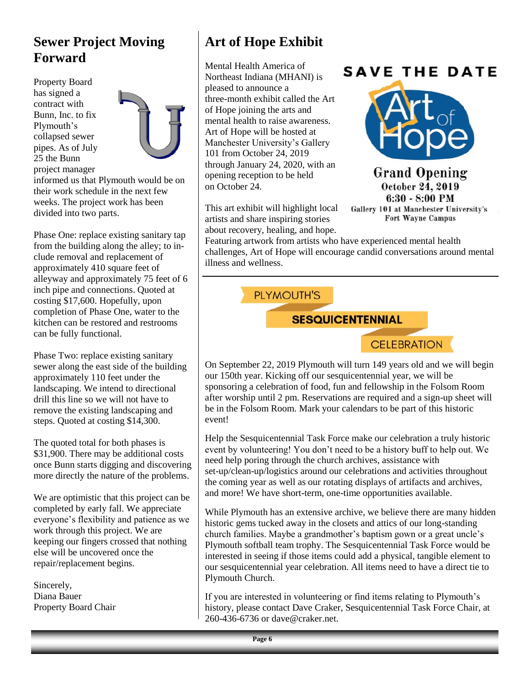#### **Sewer Project Moving Forward**

Property Board has signed a contract with Bunn, Inc. to fix Plymouth's collapsed sewer pipes. As of July 25 the Bunn project manager



informed us that Plymouth would be on their work schedule in the next few weeks. The project work has been divided into two parts.

Phase One: replace existing sanitary tap from the building along the alley; to include removal and replacement of approximately 410 square feet of alleyway and approximately 75 feet of 6 inch pipe and connections. Quoted at costing \$17,600. Hopefully, upon completion of Phase One, water to the kitchen can be restored and restrooms can be fully functional.

Phase Two: replace existing sanitary sewer along the east side of the building approximately 110 feet under the landscaping. We intend to directional drill this line so we will not have to remove the existing landscaping and steps. Quoted at costing \$14,300.

The quoted total for both phases is \$31,900. There may be additional costs once Bunn starts digging and discovering more directly the nature of the problems.

We are optimistic that this project can be completed by early fall. We appreciate everyone's flexibility and patience as we work through this project. We are keeping our fingers crossed that nothing else will be uncovered once the repair/replacement begins.

Sincerely, Diana Bauer Property Board Chair

## **Art of Hope Exhibit**

Mental Health America of Northeast Indiana (MHANI) is pleased to announce a three-month exhibit called the Art of Hope joining the arts and mental health to raise awareness. Art of Hope will be hosted at Manchester University's Gallery 101 from October 24, 2019 through January 24, 2020, with an opening reception to be held on October 24.

This art exhibit will highlight local artists and share inspiring stories about recovery, healing, and hope.

## **SAVE THE DATE**



**Grand Opening** October 24, 2019  $6:30 - 8:00$  PM Gallery 101 at Manchester University's Fort Wayne Campus

Featuring artwork from artists who have experienced mental health challenges, Art of Hope will encourage candid conversations around mental illness and wellness.

PLYMOUTH'S

**SESQUICENTENNIAL** 



On September 22, 2019 Plymouth will turn 149 years old and we will begin our 150th year. Kicking off our sesquicentennial year, we will be sponsoring a celebration of food, fun and fellowship in the Folsom Room after worship until 2 pm. Reservations are required and a sign-up sheet will be in the Folsom Room. Mark your calendars to be part of this historic event!

Help the Sesquicentennial Task Force make our celebration a truly historic event by volunteering! You don't need to be a history buff to help out. We need help poring through the church archives, assistance with set-up/clean-up/logistics around our celebrations and activities throughout the coming year as well as our rotating displays of artifacts and archives, and more! We have short-term, one-time opportunities available.

While Plymouth has an extensive archive, we believe there are many hidden historic gems tucked away in the closets and attics of our long-standing church families. Maybe a grandmother's baptism gown or a great uncle's Plymouth softball team trophy. The Sesquicentennial Task Force would be interested in seeing if those items could add a physical, tangible element to our sesquicentennial year celebration. All items need to have a direct tie to Plymouth Church.

If you are interested in volunteering or find items relating to Plymouth's history, please contact Dave Craker, Sesquicentennial Task Force Chair, at 260-436-6736 or dave@craker.net.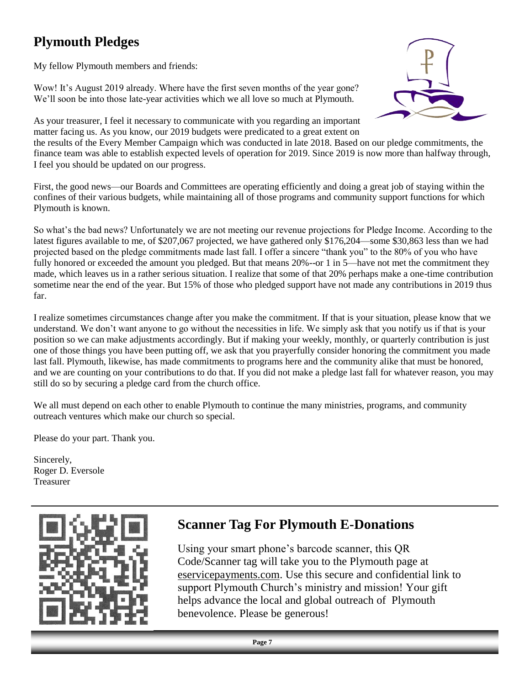## **Plymouth Pledges**

My fellow Plymouth members and friends:

Wow! It's August 2019 already. Where have the first seven months of the year gone? We'll soon be into those late-year activities which we all love so much at Plymouth.



As your treasurer, I feel it necessary to communicate with you regarding an important matter facing us. As you know, our 2019 budgets were predicated to a great extent on

the results of the Every Member Campaign which was conducted in late 2018. Based on our pledge commitments, the finance team was able to establish expected levels of operation for 2019. Since 2019 is now more than halfway through, I feel you should be updated on our progress.

First, the good news—our Boards and Committees are operating efficiently and doing a great job of staying within the confines of their various budgets, while maintaining all of those programs and community support functions for which Plymouth is known.

So what's the bad news? Unfortunately we are not meeting our revenue projections for Pledge Income. According to the latest figures available to me, of \$207,067 projected, we have gathered only \$176,204—some \$30,863 less than we had projected based on the pledge commitments made last fall. I offer a sincere "thank you" to the 80% of you who have fully honored or exceeded the amount you pledged. But that means 20%--or 1 in 5—have not met the commitment they made, which leaves us in a rather serious situation. I realize that some of that 20% perhaps make a one-time contribution sometime near the end of the year. But 15% of those who pledged support have not made any contributions in 2019 thus far.

I realize sometimes circumstances change after you make the commitment. If that is your situation, please know that we understand. We don't want anyone to go without the necessities in life. We simply ask that you notify us if that is your position so we can make adjustments accordingly. But if making your weekly, monthly, or quarterly contribution is just one of those things you have been putting off, we ask that you prayerfully consider honoring the commitment you made last fall. Plymouth, likewise, has made commitments to programs here and the community alike that must be honored, and we are counting on your contributions to do that. If you did not make a pledge last fall for whatever reason, you may still do so by securing a pledge card from the church office.

We all must depend on each other to enable Plymouth to continue the many ministries, programs, and community outreach ventures which make our church so special.

Please do your part. Thank you.

Sincerely, Roger D. Eversole Treasurer



### **Scanner Tag For Plymouth E-Donations**

Using your smart phone's barcode scanner, this QR Code/Scanner tag will take you to the Plymouth page at eservicepayments.com. Use this secure and confidential link to support Plymouth Church's ministry and mission! Your gift helps advance the local and global outreach of Plymouth benevolence. Please be generous!